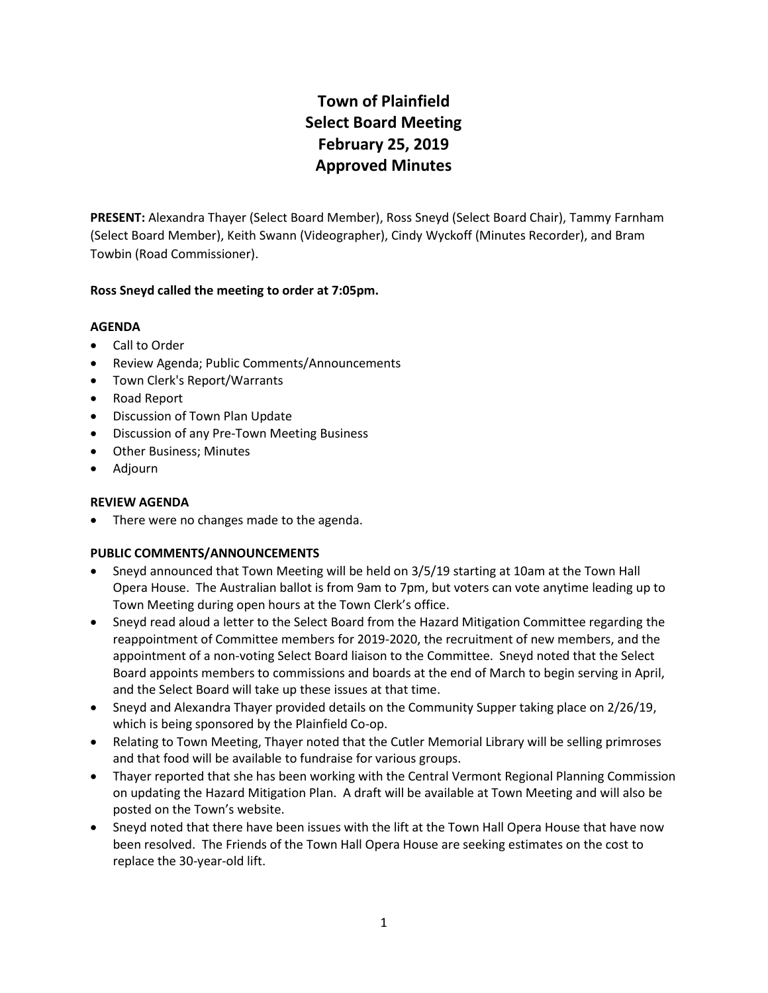# **Town of Plainfield Select Board Meeting February 25, 2019 Approved Minutes**

**PRESENT:** Alexandra Thayer (Select Board Member), Ross Sneyd (Select Board Chair), Tammy Farnham (Select Board Member), Keith Swann (Videographer), Cindy Wyckoff (Minutes Recorder), and Bram Towbin (Road Commissioner).

# **Ross Sneyd called the meeting to order at 7:05pm.**

# **AGENDA**

- Call to Order
- Review Agenda; Public Comments/Announcements
- Town Clerk's Report/Warrants
- Road Report
- Discussion of Town Plan Update
- Discussion of any Pre-Town Meeting Business
- Other Business; Minutes
- Adjourn

#### **REVIEW AGENDA**

• There were no changes made to the agenda.

#### **PUBLIC COMMENTS/ANNOUNCEMENTS**

- Sneyd announced that Town Meeting will be held on 3/5/19 starting at 10am at the Town Hall Opera House. The Australian ballot is from 9am to 7pm, but voters can vote anytime leading up to Town Meeting during open hours at the Town Clerk's office.
- Sneyd read aloud a letter to the Select Board from the Hazard Mitigation Committee regarding the reappointment of Committee members for 2019-2020, the recruitment of new members, and the appointment of a non-voting Select Board liaison to the Committee. Sneyd noted that the Select Board appoints members to commissions and boards at the end of March to begin serving in April, and the Select Board will take up these issues at that time.
- Sneyd and Alexandra Thayer provided details on the Community Supper taking place on 2/26/19, which is being sponsored by the Plainfield Co-op.
- Relating to Town Meeting, Thayer noted that the Cutler Memorial Library will be selling primroses and that food will be available to fundraise for various groups.
- Thayer reported that she has been working with the Central Vermont Regional Planning Commission on updating the Hazard Mitigation Plan. A draft will be available at Town Meeting and will also be posted on the Town's website.
- Sneyd noted that there have been issues with the lift at the Town Hall Opera House that have now been resolved. The Friends of the Town Hall Opera House are seeking estimates on the cost to replace the 30-year-old lift.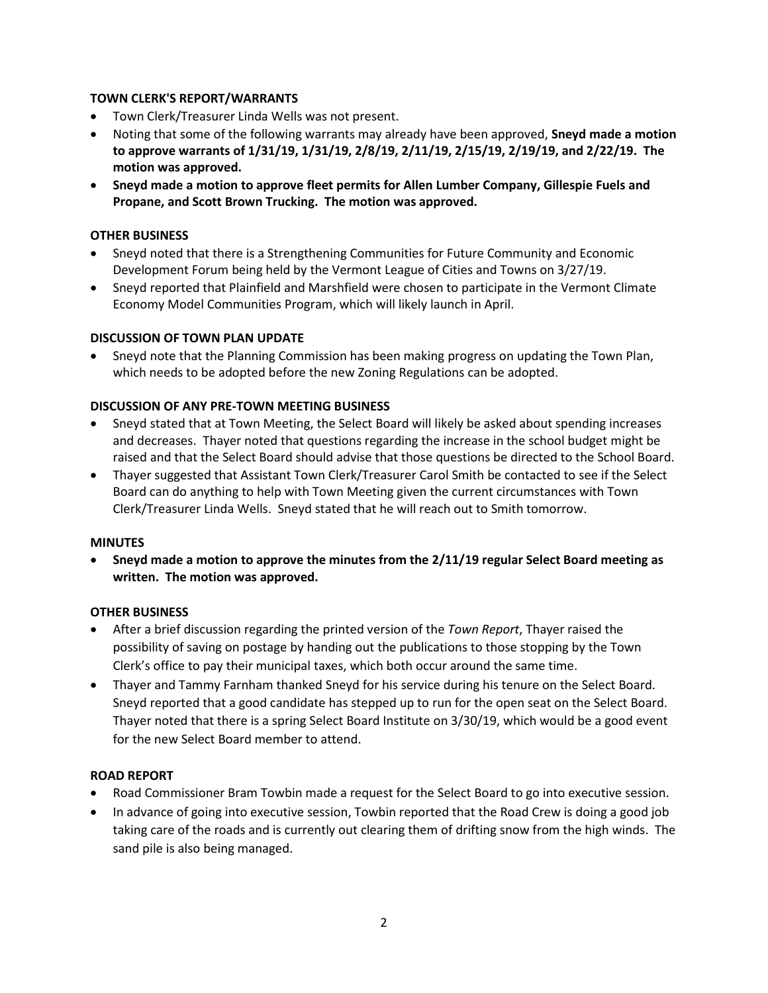# **TOWN CLERK'S REPORT/WARRANTS**

- Town Clerk/Treasurer Linda Wells was not present.
- Noting that some of the following warrants may already have been approved, **Sneyd made a motion to approve warrants of 1/31/19, 1/31/19, 2/8/19, 2/11/19, 2/15/19, 2/19/19, and 2/22/19. The motion was approved.**
- **Sneyd made a motion to approve fleet permits for Allen Lumber Company, Gillespie Fuels and Propane, and Scott Brown Trucking. The motion was approved.**

#### **OTHER BUSINESS**

- Sneyd noted that there is a Strengthening Communities for Future Community and Economic Development Forum being held by the Vermont League of Cities and Towns on 3/27/19.
- Sneyd reported that Plainfield and Marshfield were chosen to participate in the Vermont Climate Economy Model Communities Program, which will likely launch in April.

# **DISCUSSION OF TOWN PLAN UPDATE**

 Sneyd note that the Planning Commission has been making progress on updating the Town Plan, which needs to be adopted before the new Zoning Regulations can be adopted.

# **DISCUSSION OF ANY PRE-TOWN MEETING BUSINESS**

- Sneyd stated that at Town Meeting, the Select Board will likely be asked about spending increases and decreases. Thayer noted that questions regarding the increase in the school budget might be raised and that the Select Board should advise that those questions be directed to the School Board.
- Thayer suggested that Assistant Town Clerk/Treasurer Carol Smith be contacted to see if the Select Board can do anything to help with Town Meeting given the current circumstances with Town Clerk/Treasurer Linda Wells. Sneyd stated that he will reach out to Smith tomorrow.

#### **MINUTES**

 **Sneyd made a motion to approve the minutes from the 2/11/19 regular Select Board meeting as written. The motion was approved.**

#### **OTHER BUSINESS**

- After a brief discussion regarding the printed version of the *Town Report*, Thayer raised the possibility of saving on postage by handing out the publications to those stopping by the Town Clerk's office to pay their municipal taxes, which both occur around the same time.
- Thayer and Tammy Farnham thanked Sneyd for his service during his tenure on the Select Board. Sneyd reported that a good candidate has stepped up to run for the open seat on the Select Board. Thayer noted that there is a spring Select Board Institute on 3/30/19, which would be a good event for the new Select Board member to attend.

#### **ROAD REPORT**

- Road Commissioner Bram Towbin made a request for the Select Board to go into executive session.
- In advance of going into executive session, Towbin reported that the Road Crew is doing a good job taking care of the roads and is currently out clearing them of drifting snow from the high winds. The sand pile is also being managed.